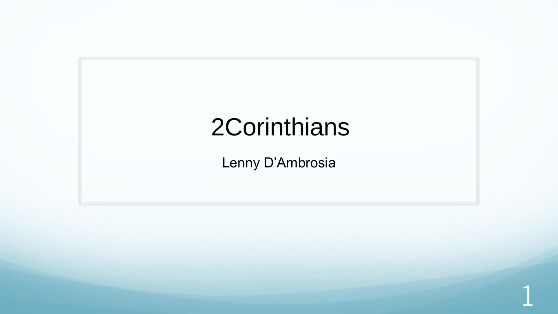## 2Corinthians

Lenny D'Ambrosia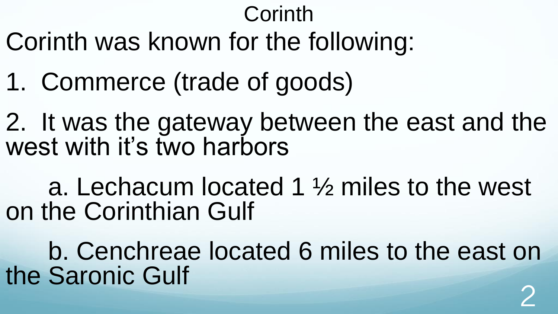### Corinth

- Corinth was known for the following:
- 1. Commerce (trade of goods)
- 2. It was the gateway between the east and the west with it's two harbors
- a. Lechacum located 1 ½ miles to the west on the Corinthian Gulf
- b. Cenchreae located 6 miles to the east on the Saronic Gulf 2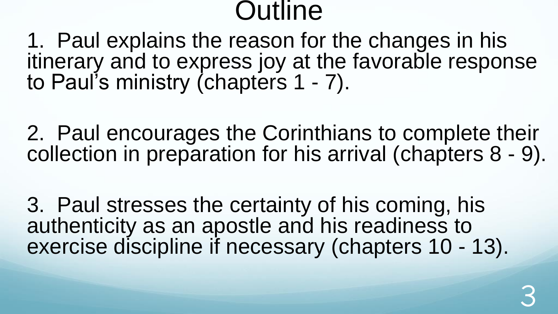#### **Outline**

1. Paul explains the reason for the changes in his itinerary and to express joy at the favorable response to Paul's ministry (chapters 1 - 7).

2. Paul encourages the Corinthians to complete their collection in preparation for his arrival (chapters 8 - 9).

3. Paul stresses the certainty of his coming, his authenticity as an apostle and his readiness to exercise discipline if necessary (chapters 10 - 13).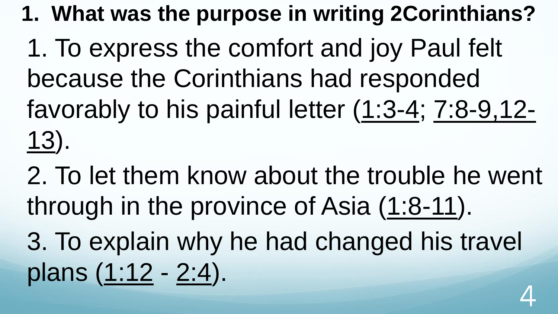**1. What was the purpose in writing 2Corinthians?**

1. To express the comfort and joy Paul felt because the Corinthians had responded favorably to his painful letter (1:3-4; 7:8-9,12- 13).

2. To let them know about the trouble he went through in the province of Asia (1:8-11).

3. To explain why he had changed his travel plans (1:12 - 2:4).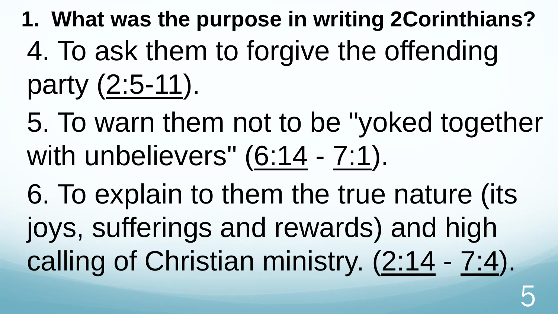**1. What was the purpose in writing 2Corinthians?** 4. To ask them to forgive the offending party (2:5-11).

5. To warn them not to be "yoked together with unbelievers"  $(6:14 - 7:1)$ .

6. To explain to them the true nature (its joys, sufferings and rewards) and high calling of Christian ministry. (2:14 - 7:4).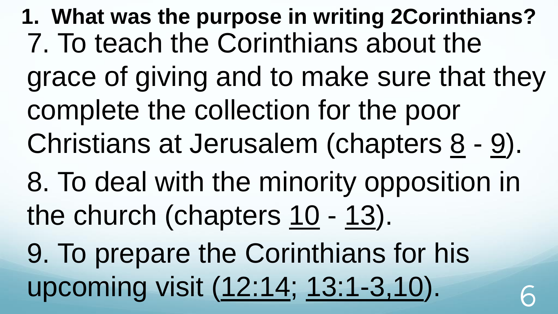**1. What was the purpose in writing 2Corinthians?** 7. To teach the Corinthians about the grace of giving and to make sure that they complete the collection for the poor Christians at Jerusalem (chapters  $8 - 9$ ). 8. To deal with the minority opposition in the church (chapters  $10 - 13$ ). 9. To prepare the Corinthians for his upcoming visit (12:14; 13:1-3,10).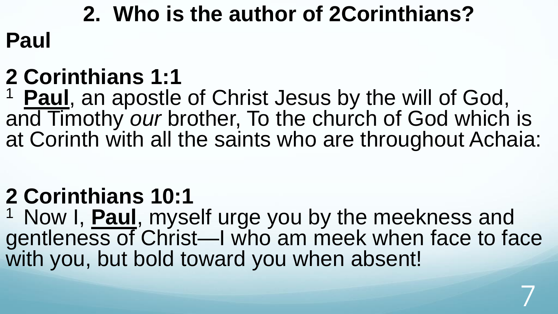### **2. Who is the author of 2Corinthians? Paul**

#### **2 Corinthians 1:1**

<sup>1</sup> Paul, an apostle of Christ Jesus by the will of God, and Timothy *our* brother, To the church of God which is at Corinth with all the saints who are throughout Achaia:

#### **2 Corinthians 10:1**

<sup>1</sup> Now I, **Paul**, myself urge you by the meekness and gentleness of Christ—I who am meek when face to face with you, but bold toward you when absent!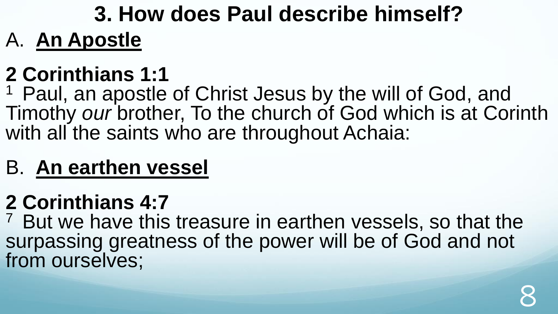#### **3. How does Paul describe himself?** A. **An Apostle**

#### **2 Corinthians 1:1**

<sup>1</sup> Paul, an apostle of Christ Jesus by the will of God, and Timothy *our* brother, To the church of God which is at Corinth with all the saints who are throughout Achaia:

#### B. **An earthen vessel**

#### **2 Corinthians 4:7**

<sup>7</sup> But we have this treasure in earthen vessels, so that the surpassing greatness of the power will be of God and not from ourselves;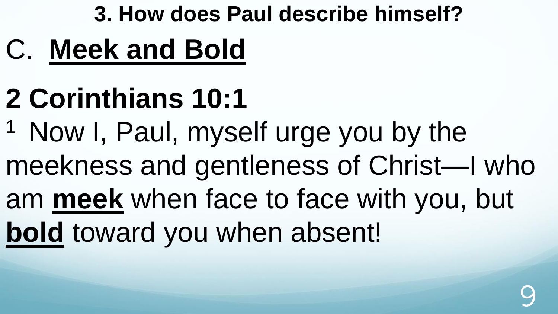#### **3. How does Paul describe himself?**

- C. **Meek and Bold**
- **2 Corinthians 10:1**
- <sup>1</sup> Now I, Paul, myself urge you by the
- meekness and gentleness of Christ—I who
- am **meek** when face to face with you, but **bold** toward you when absent!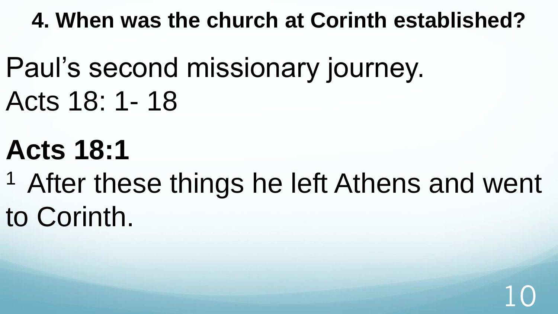**4. When was the church at Corinth established?**

Paul's second missionary journey. Acts 18: 1- 18

# **Acts 18:1**

<sup>1</sup> After these things he left Athens and went to Corinth.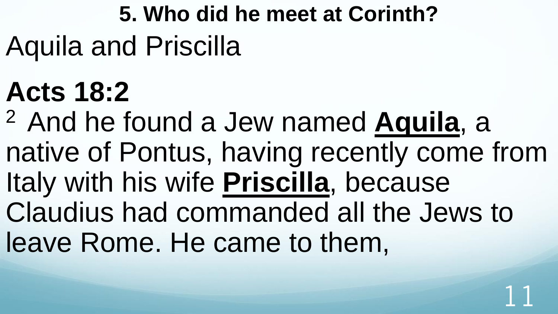## **5. Who did he meet at Corinth?** Aquila and Priscilla

# **Acts 18:2**

<sup>2</sup>And he found a Jew named **Aquila**, a native of Pontus, having recently come from Italy with his wife **Priscilla**, because Claudius had commanded all the Jews to leave Rome. He came to them,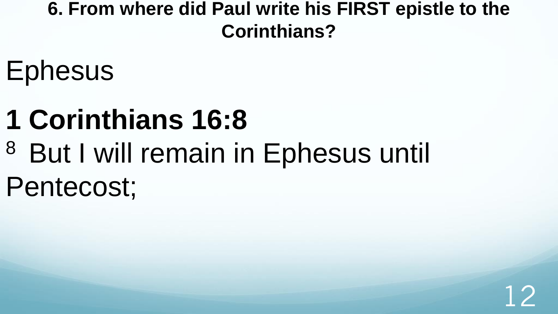#### **6. From where did Paul write his FIRST epistle to the Corinthians?**

- **Ephesus**
- **1 Corinthians 16:8**
- <sup>8</sup> But I will remain in Ephesus until Pentecost;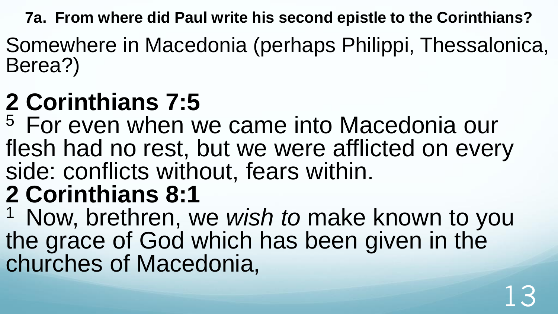**7a. From where did Paul write his second epistle to the Corinthians?**

Somewhere in Macedonia (perhaps Philippi, Thessalonica, Berea?)

## **2 Corinthians 7:5**

<sup>5</sup> For even when we came into Macedonia our flesh had no rest, but we were afflicted on every side: conflicts without, fears within. **2 Corinthians 8:1** 

<sup>1</sup> Now, brethren, we wish to make known to you the grace of God which has been given in the churches of Macedonia,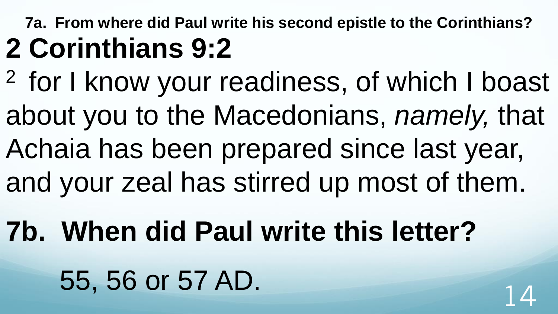#### **7a. From where did Paul write his second epistle to the Corinthians? 2 Corinthians 9:2**

- <sup>2</sup> for I know your readiness, of which I boast about you to the Macedonians, *namely,* that Achaia has been prepared since last year,
- and your zeal has stirred up most of them.
- **7b. When did Paul write this letter?** 55, 56 or 57 AD.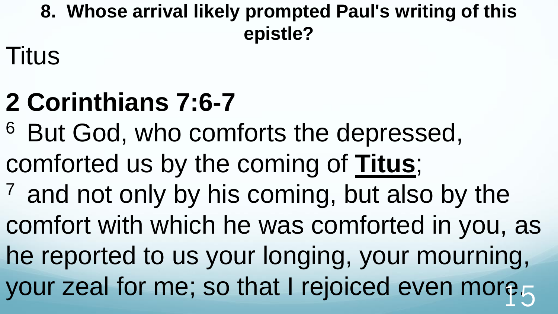**8. Whose arrival likely prompted Paul's writing of this epistle?** 

Titus

# **2 Corinthians 7:6-7**

- <sup>6</sup> But God, who comforts the depressed, comforted us by the coming of **Titus**;  $<sup>7</sup>$  and not only by his coming, but also by the</sup>
- comfort with which he was comforted in you, as
- he reported to us your longing, your mourning, your zeal for me; so that I rejoiced even more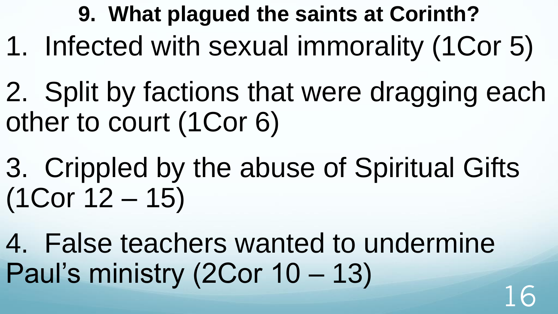- **9. What plagued the saints at Corinth?** 1. Infected with sexual immorality (1Cor 5)
- 2. Split by factions that were dragging each other to court (1Cor 6)
- 3. Crippled by the abuse of Spiritual Gifts (1Cor 12 – 15)
- 4. False teachers wanted to undermine Paul's ministry (2Cor 10 – 13)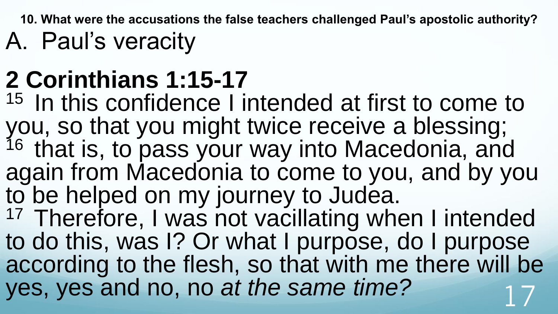**10. What were the accusations the false teachers challenged Paul's apostolic authority?**  A. Paul's veracity

## **2 Corinthians 1:15-17**

 $15$  In this confidence I intended at first to come to you, so that you might twice receive a blessing; <sup>16</sup> that is, to pass your way into Macedonia, and again from Macedonia to come to you, and by you to be helped on my journey to Judea.

<sup>17</sup> Therefore, I was not vacillating when I intended to do this, was I? Or what I purpose, do I purpose according to the flesh, so that with me there will be yes, yes and no, no *at the same time?*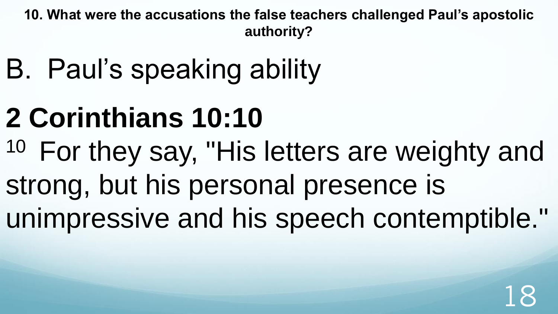**10. What were the accusations the false teachers challenged Paul's apostolic authority?** 

- B. Paul's speaking ability
- **2 Corinthians 10:10**
- <sup>10</sup> For they say, "His letters are weighty and strong, but his personal presence is unimpressive and his speech contemptible."